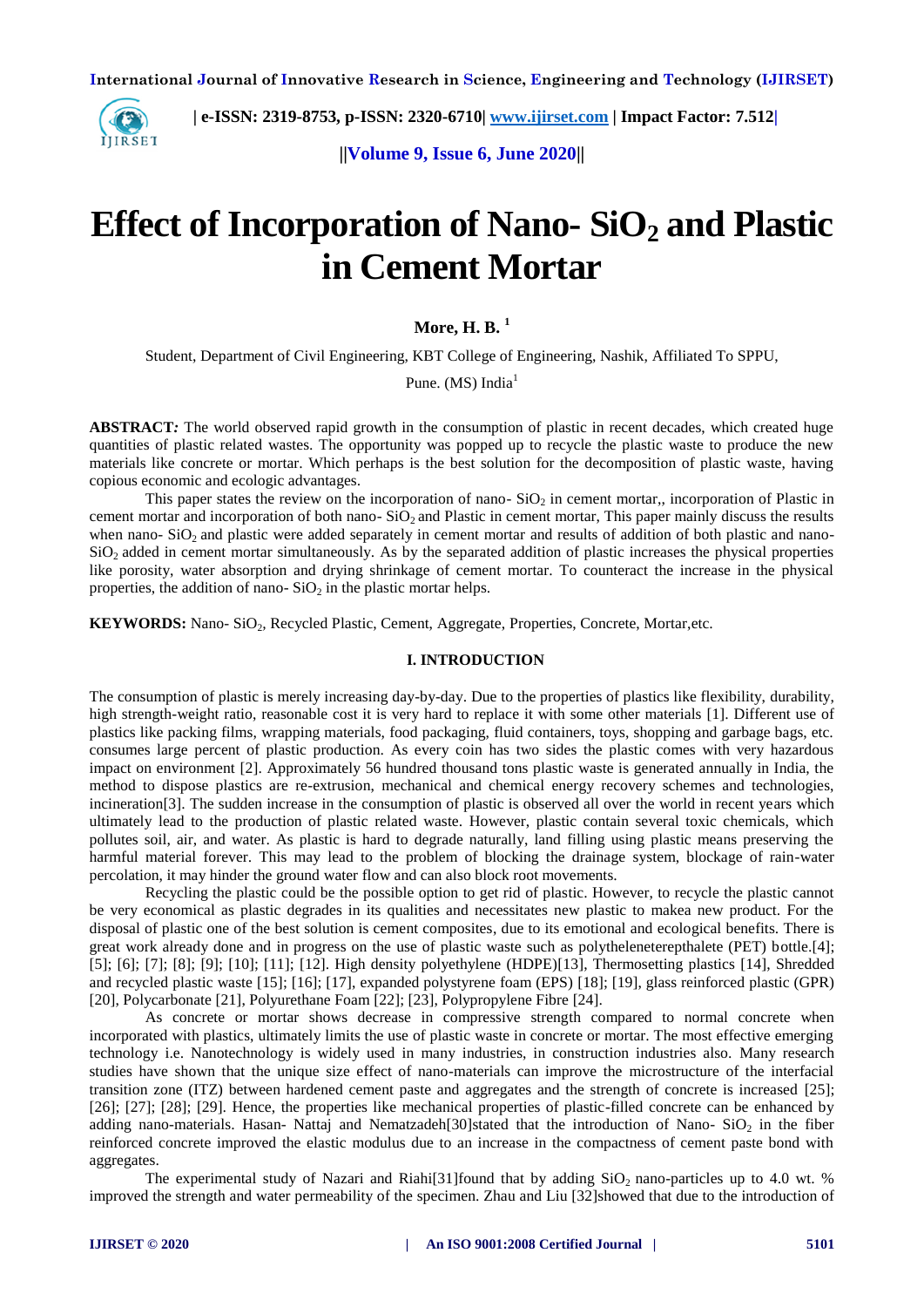

 **| e-ISSN: 2319-8753, p-ISSN: 2320-6710[| www.ijirset.com](http://www.ijirset.com/) | Impact Factor: 7.512|**

**||Volume 9, Issue 6, June 2020||** 

# **Effect of Incorporation of Nano- SiO<sup>2</sup> and Plastic in Cement Mortar**

## **More, H. B. <sup>1</sup>**

Student, Department of Civil Engineering, KBT College of Engineering, Nashik, Affiliated To SPPU,

Pune. (MS) India<sup>1</sup>

**ABSTRACT***:* The world observed rapid growth in the consumption of plastic in recent decades, which created huge quantities of plastic related wastes. The opportunity was popped up to recycle the plastic waste to produce the new materials like concrete or mortar. Which perhaps is the best solution for the decomposition of plastic waste, having copious economic and ecologic advantages.

This paper states the review on the incorporation of nano- $SiO<sub>2</sub>$  in cement mortar,, incorporation of Plastic in cement mortar and incorporation of both nano- $SiO<sub>2</sub>$  and Plastic in cement mortar, This paper mainly discuss the results when nano- $SiO<sub>2</sub>$  and plastic were added separately in cement mortar and results of addition of both plastic and nano- $SiO<sub>2</sub>$  added in cement mortar simultaneously. As by the separated addition of plastic increases the physical properties like porosity, water absorption and drying shrinkage of cement mortar. To counteract the increase in the physical properties, the addition of nano- $SiO<sub>2</sub>$  in the plastic mortar helps.

**KEYWORDS:** Nano- SiO<sub>2</sub>, Recycled Plastic, Cement, Aggregate, Properties, Concrete, Mortar,etc.

#### **I. INTRODUCTION**

The consumption of plastic is merely increasing day-by-day. Due to the properties of plastics like flexibility, durability, high strength-weight ratio, reasonable cost it is very hard to replace it with some other materials [\[1\].](#page-5-0) Different use of plastics like packing films, wrapping materials, food packaging, fluid containers, toys, shopping and garbage bags, etc. consumes large percent of plastic production. As every coin has two sides the plastic comes with very hazardous impact on environment [\[2\].](#page-5-1) Approximately 56 hundred thousand tons plastic waste is generated annually in India, the method to dispose plastics are re-extrusion, mechanical and chemical energy recovery schemes and technologies, incineratio[n\[3\].](#page-5-2) The sudden increase in the consumption of plastic is observed all over the world in recent years which ultimately lead to the production of plastic related waste. However, plastic contain several toxic chemicals, which pollutes soil, air, and water. As plastic is hard to degrade naturally, land filling using plastic means preserving the harmful material forever. This may lead to the problem of blocking the drainage system, blockage of rain-water percolation, it may hinder the ground water flow and can also block root movements.

Recycling the plastic could be the possible option to get rid of plastic. However, to recycle the plastic cannot be very economical as plastic degrades in its qualities and necessitates new plastic to makea new product. For the disposal of plastic one of the best solution is cement composites, due to its emotional and ecological benefits. There is great work already done and in progress on the use of plastic waste such as polytheleneterepthalete (PET) bottle[.\[4\];](#page-5-3) [\[5\];](#page-5-4) [\[6\];](#page-5-5) [\[7\];](#page-5-6) [\[8\];](#page-6-0) [\[9\];](#page-6-1) [\[10\];](#page-6-2) [\[11\];](#page-6-3) [\[12\].](#page-6-4) High density polyethylene (HDPE[\)\[13\],](#page-6-5) Thermosetting plastics [\[14\],](#page-6-6) Shredded and recycled plastic waste [\[15\];](#page-6-7) [\[16\];](#page-6-8) [\[17\],](#page-6-9) expanded polystyrene foam (EPS) [\[18\];](#page-6-10) [\[19\],](#page-6-11) glass reinforced plastic (GPR) [\[20\],](#page-6-12) Polycarbonate [\[21\],](#page-6-13) Polyurethane Foam [\[22\];](#page-6-14) [\[23\],](#page-6-15) Polypropylene Fibre [\[24\].](#page-6-16)

As concrete or mortar shows decrease in compressive strength compared to normal concrete when incorporated with plastics, ultimately limits the use of plastic waste in concrete or mortar. The most effective emerging technology i.e. Nanotechnology is widely used in many industries, in construction industries also. Many research studies have shown that the unique size effect of nano-materials can improve the microstructure of the interfacial transition zone (ITZ) between hardened cement paste and aggregates and the strength of concrete is increased [\[25\];](#page-6-17) [\[26\];](#page-6-18) [\[27\];](#page-6-19) [\[28\];](#page-6-20) [\[29\].](#page-6-21) Hence, the properties like mechanical properties of plastic-filled concrete can be enhanced by adding nano-materials. Hasan- Nattaj and Nematzade[h\[30\]s](#page-6-22)tated that the introduction of Nano-  $SiO<sub>2</sub>$  in the fiber reinforced concrete improved the elastic modulus due to an increase in the compactness of cement paste bond with aggregates.

The experimental study of Nazari and Riahi<sup>[31]</sup> found that by adding  $SiO<sub>2</sub>$  nano-particles up to 4.0 wt. % improved the strength and water permeability of the specimen. Zhau and Liu [32] showed that due to the introduction of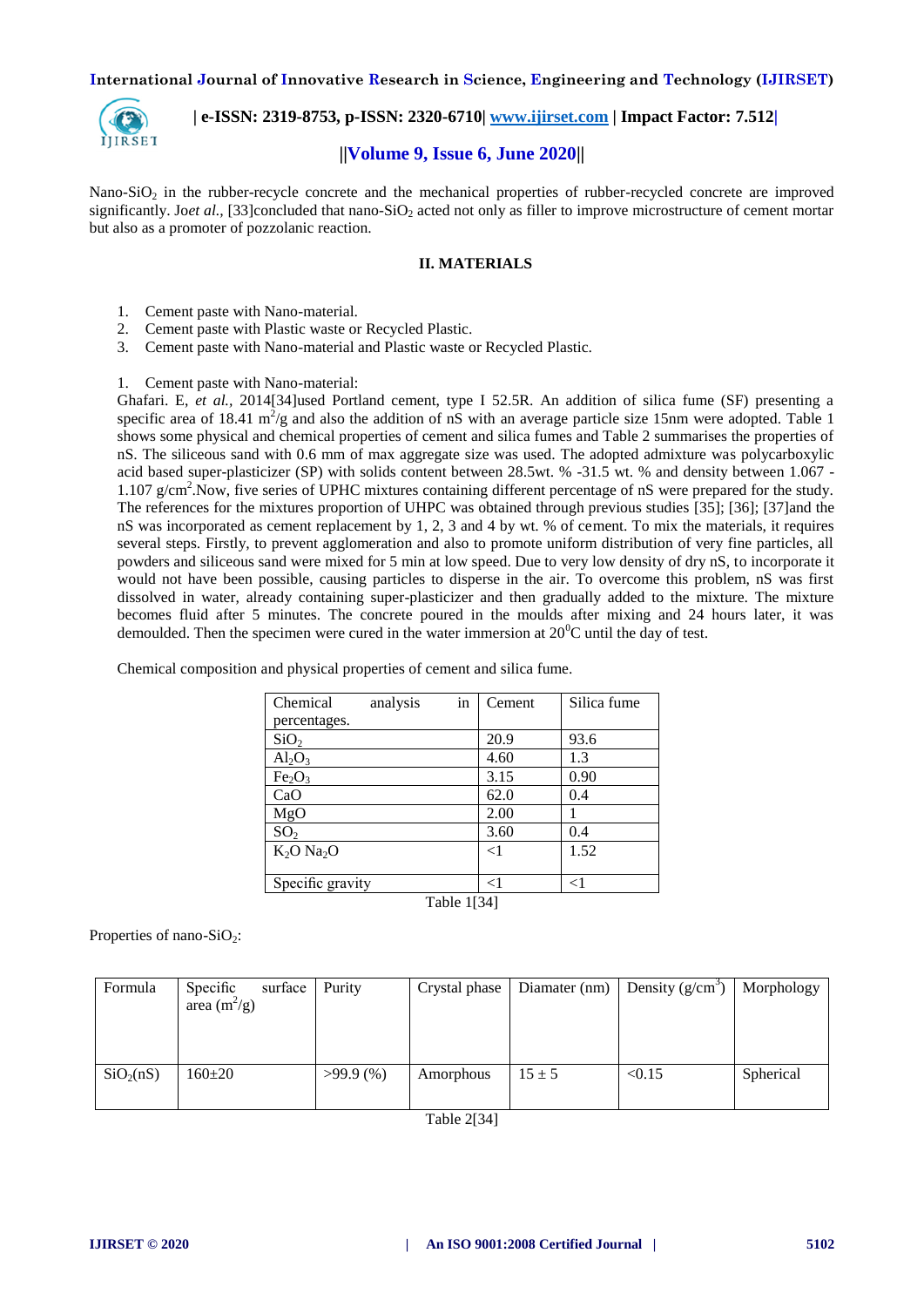

 **| e-ISSN: 2319-8753, p-ISSN: 2320-6710[| www.ijirset.com](http://www.ijirset.com/) | Impact Factor: 7.512|**

## **||Volume 9, Issue 6, June 2020||**

Nano-SiO<sub>2</sub> in the rubber-recycle concrete and the mechanical properties of rubber-recycled concrete are improved significantly. Joet al., [\[33\]c](#page-6-25)oncluded that nano-SiO<sub>2</sub> acted not only as filler to improve microstructure of cement mortar but also as a promoter of pozzolanic reaction.

## **II. MATERIALS**

- 1. Cement paste with Nano-material.
- 2. Cement paste with Plastic waste or Recycled Plastic.
- 3. Cement paste with Nano-material and Plastic waste or Recycled Plastic.

1. Cement paste with Nano-material:

Ghafari. E, *et al.,* 201[4\[34\]u](#page-6-26)sed Portland cement, type I 52.5R. An addition of silica fume (SF) presenting a specific area of 18.41  $m^2/g$  and also the addition of nS with an average particle size 15nm were adopted. Table 1 shows some physical and chemical properties of cement and silica fumes and Table 2 summarises the properties of nS. The siliceous sand with 0.6 mm of max aggregate size was used. The adopted admixture was polycarboxylic acid based super-plasticizer (SP) with solids content between 28.5wt. % -31.5 wt. % and density between 1.067 - 1.107 g/cm<sup>2</sup>. Now, five series of UPHC mixtures containing different percentage of nS were prepared for the study. The references for the mixtures proportion of UHPC was obtained through previous studies [\[35\];](#page-7-0) [\[36\];](#page-7-1) [\[37\]a](#page-7-2)nd the nS was incorporated as cement replacement by 1, 2, 3 and 4 by wt. % of cement. To mix the materials, it requires several steps. Firstly, to prevent agglomeration and also to promote uniform distribution of very fine particles, all powders and siliceous sand were mixed for 5 min at low speed. Due to very low density of dry nS, to incorporate it would not have been possible, causing particles to disperse in the air. To overcome this problem, nS was first dissolved in water, already containing super-plasticizer and then gradually added to the mixture. The mixture becomes fluid after 5 minutes. The concrete poured in the moulds after mixing and 24 hours later, it was demoulded. Then the specimen were cured in the water immersion at  $20^{\circ}$ C until the day of test.

| Chemical<br>analysis           | in | Cement   | Silica fume |  |  |  |  |
|--------------------------------|----|----------|-------------|--|--|--|--|
| percentages.                   |    |          |             |  |  |  |  |
| SiO <sub>2</sub>               |    | 20.9     | 93.6        |  |  |  |  |
| Al <sub>2</sub> O <sub>3</sub> |    | 4.60     | 1.3         |  |  |  |  |
| Fe <sub>2</sub> O <sub>3</sub> |    | 3.15     | 0.90        |  |  |  |  |
| CaO                            |    | 62.0     | 0.4         |  |  |  |  |
| MgO                            |    | 2.00     |             |  |  |  |  |
| SO <sub>2</sub>                |    | 3.60     | 0.4         |  |  |  |  |
| $K2O$ Na <sub>2</sub> O        |    | $\leq$ 1 | 1.52        |  |  |  |  |
|                                |    |          |             |  |  |  |  |
| Specific gravity               |    | $<$ 1    | $<$ 1       |  |  |  |  |
| 1521<br>$T = 11$               |    |          |             |  |  |  |  |

Chemical composition and physical properties of cement and silica fume.

Table [1\[34\]](#page-6-26)

Properties of nano-SiO<sub>2</sub>:

| Formula               | Specific<br>surface<br>area $(m^2/g)$ | Purity      | Crystal phase | Diamater $(nm)$ | Density $(g/cm^3)$ | Morphology |
|-----------------------|---------------------------------------|-------------|---------------|-----------------|--------------------|------------|
| SiO <sub>2</sub> (nS) | $160 \pm 20$                          | $>99.9$ (%) | Amorphous     | $15 \pm 5$      | < 0.15             | Spherical  |

Table [2\[34\]](#page-6-26)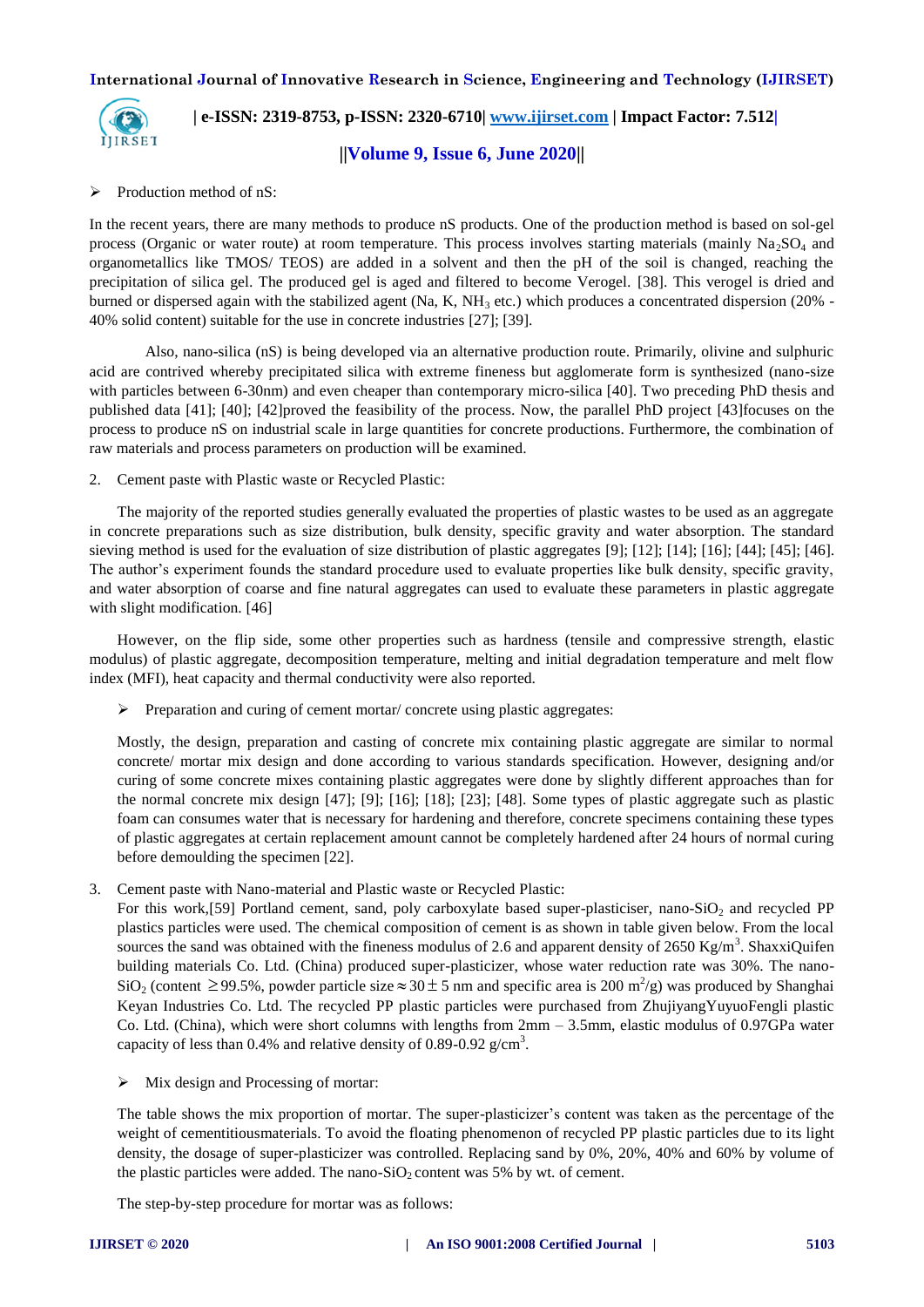

## **| e-ISSN: 2319-8753, p-ISSN: 2320-6710[| www.ijirset.com](http://www.ijirset.com/) | Impact Factor: 7.512|**

**||Volume 9, Issue 6, June 2020||** 

## $\triangleright$  Production method of nS:

In the recent years, there are many methods to produce nS products. One of the production method is based on sol-gel process (Organic or water route) at room temperature. This process involves starting materials (mainly  $Na<sub>2</sub>SO<sub>4</sub>$  and organometallics like TMOS/ TEOS) are added in a solvent and then the pH of the soil is changed, reaching the precipitation of silica gel. The produced gel is aged and filtered to become Verogel. [\[38\].](#page-7-3) This verogel is dried and burned or dispersed again with the stabilized agent (Na, K,  $NH_3$  etc.) which produces a concentrated dispersion (20% -40% solid content) suitable for the use in concrete industries [\[27\];](#page-6-19) [\[39\].](#page-7-4)

Also, nano-silica (nS) is being developed via an alternative production route. Primarily, olivine and sulphuric acid are contrived whereby precipitated silica with extreme fineness but agglomerate form is synthesized (nano-size with particles between 6-30nm) and even cheaper than contemporary micro-silica [\[40\].](#page-7-5) Two preceding PhD thesis and published data [\[41\];](#page-7-6) [\[40\];](#page-7-5) [\[42\]p](#page-7-7)roved the feasibility of the process. Now, the parallel PhD project [\[43\]f](#page-7-8)ocuses on the process to produce nS on industrial scale in large quantities for concrete productions. Furthermore, the combination of raw materials and process parameters on production will be examined.

2. Cement paste with Plastic waste or Recycled Plastic:

The majority of the reported studies generally evaluated the properties of plastic wastes to be used as an aggregate in concrete preparations such as size distribution, bulk density, specific gravity and water absorption. The standard sieving method is used for the evaluation of size distribution of plastic aggregates [\[9\];](#page-6-1) [\[12\];](#page-6-4) [\[14\];](#page-6-6) [\[16\];](#page-6-8) [\[44\];](#page-7-9) [\[45\];](#page-7-10) [\[46\].](#page-7-11) The author's experiment founds the standard procedure used to evaluate properties like bulk density, specific gravity, and water absorption of coarse and fine natural aggregates can used to evaluate these parameters in plastic aggregate with slight modification. [\[46\]](#page-7-11)

However, on the flip side, some other properties such as hardness (tensile and compressive strength, elastic modulus) of plastic aggregate, decomposition temperature, melting and initial degradation temperature and melt flow index (MFI), heat capacity and thermal conductivity were also reported.

 $\triangleright$  Preparation and curing of cement mortar/ concrete using plastic aggregates:

Mostly, the design, preparation and casting of concrete mix containing plastic aggregate are similar to normal concrete/ mortar mix design and done according to various standards specification. However, designing and/or curing of some concrete mixes containing plastic aggregates were done by slightly different approaches than for the normal concrete mix design [\[47\];](#page-7-12) [\[9\];](#page-6-1) [\[16\];](#page-6-8) [\[18\];](#page-6-10) [\[23\];](#page-6-15) [\[48\].](#page-7-13) Some types of plastic aggregate such as plastic foam can consumes water that is necessary for hardening and therefore, concrete specimens containing these types of plastic aggregates at certain replacement amount cannot be completely hardened after 24 hours of normal curing before demoulding the specimen [\[22\].](#page-6-14)

3. Cement paste with Nano-material and Plastic waste or Recycled Plastic:

For this work[,\[59\]](#page-7-14) Portland cement, sand, poly carboxylate based super-plasticiser, nano-SiO<sub>2</sub> and recycled PP plastics particles were used. The chemical composition of cement is as shown in table given below. From the local sources the sand was obtained with the fineness modulus of 2.6 and apparent density of 2650 Kg/m<sup>3</sup>. ShaxxiQuifen building materials Co. Ltd. (China) produced super-plasticizer, whose water reduction rate was 30%. The nano-SiO<sub>2</sub> (content  $\ge$  99.5%, powder particle size  $\approx$  30  $\pm$  5 nm and specific area is 200 m<sup>2</sup>/g) was produced by Shanghai Keyan Industries Co. Ltd. The recycled PP plastic particles were purchased from ZhujiyangYuyuoFengli plastic Co. Ltd. (China), which were short columns with lengths from 2mm – 3.5mm, elastic modulus of 0.97GPa water capacity of less than 0.4% and relative density of 0.89-0.92  $g/cm^3$ .

 $\triangleright$  Mix design and Processing of mortar:

The table shows the mix proportion of mortar. The super-plasticizer's content was taken as the percentage of the weight of cementitiousmaterials. To avoid the floating phenomenon of recycled PP plastic particles due to its light density, the dosage of super-plasticizer was controlled. Replacing sand by 0%, 20%, 40% and 60% by volume of the plastic particles were added. The nano- $SiO<sub>2</sub>$  content was 5% by wt. of cement.

The step-by-step procedure for mortar was as follows: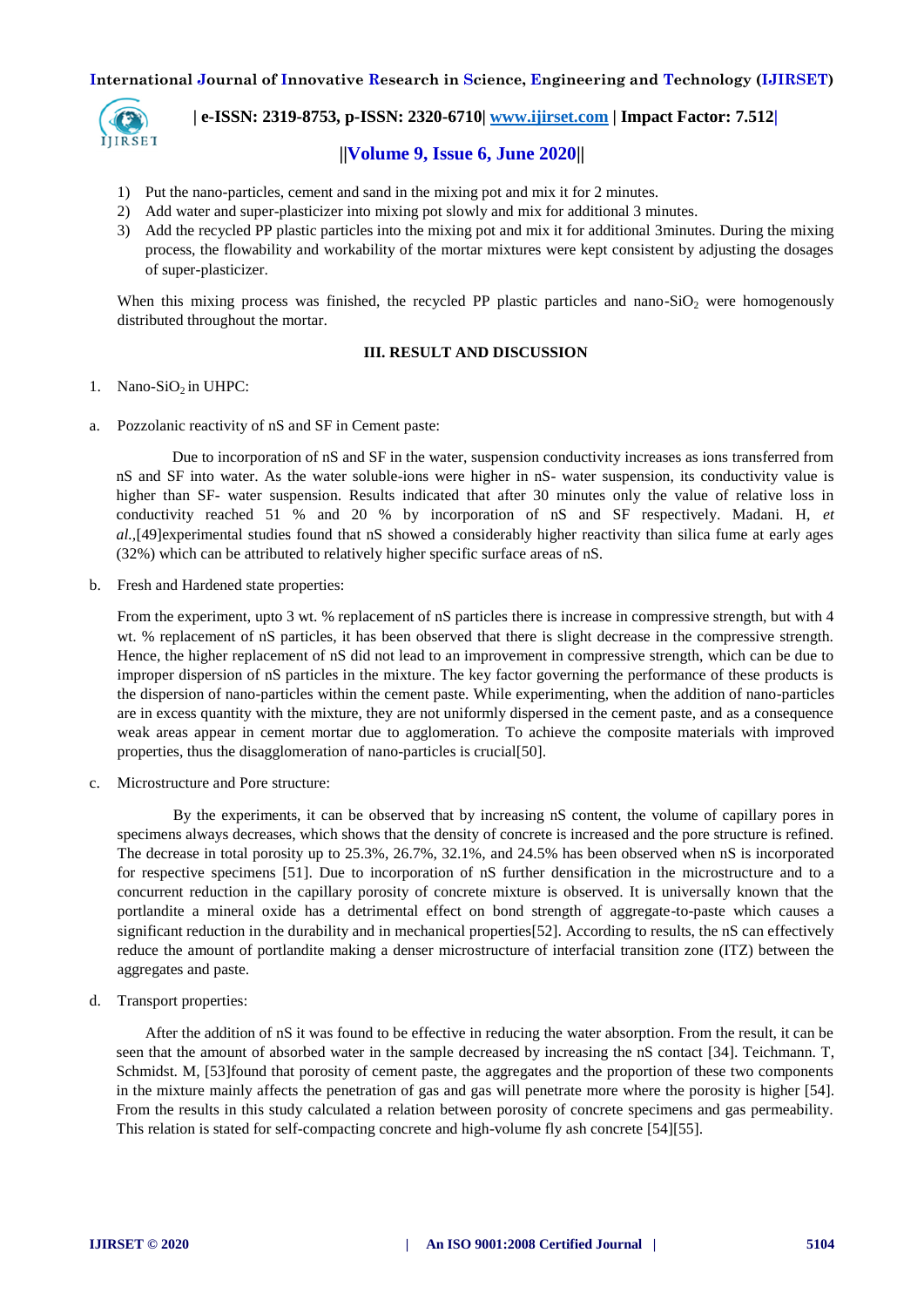

 **| e-ISSN: 2319-8753, p-ISSN: 2320-6710[| www.ijirset.com](http://www.ijirset.com/) | Impact Factor: 7.512|**

## **||Volume 9, Issue 6, June 2020||**

- 1) Put the nano-particles, cement and sand in the mixing pot and mix it for 2 minutes.
- 2) Add water and super-plasticizer into mixing pot slowly and mix for additional 3 minutes.
- 3) Add the recycled PP plastic particles into the mixing pot and mix it for additional 3minutes. During the mixing process, the flowability and workability of the mortar mixtures were kept consistent by adjusting the dosages of super-plasticizer.

When this mixing process was finished, the recycled PP plastic particles and nano-SiO<sub>2</sub> were homogenously distributed throughout the mortar.

#### **III. RESULT AND DISCUSSION**

#### 1. Nano-SiO<sub>2</sub> in UHPC:

a. Pozzolanic reactivity of nS and SF in Cement paste:

Due to incorporation of nS and SF in the water, suspension conductivity increases as ions transferred from nS and SF into water. As the water soluble-ions were higher in nS- water suspension, its conductivity value is higher than SF- water suspension. Results indicated that after 30 minutes only the value of relative loss in conductivity reached 51 % and 20 % by incorporation of nS and SF respectively. Madani. H, *et al.,*[\[49\]e](#page-7-15)xperimental studies found that nS showed a considerably higher reactivity than silica fume at early ages (32%) which can be attributed to relatively higher specific surface areas of nS.

b. Fresh and Hardened state properties:

From the experiment, upto 3 wt. % replacement of nS particles there is increase in compressive strength, but with 4 wt. % replacement of nS particles, it has been observed that there is slight decrease in the compressive strength. Hence, the higher replacement of nS did not lead to an improvement in compressive strength, which can be due to improper dispersion of nS particles in the mixture. The key factor governing the performance of these products is the dispersion of nano-particles within the cement paste. While experimenting, when the addition of nano-particles are in excess quantity with the mixture, they are not uniformly dispersed in the cement paste, and as a consequence weak areas appear in cement mortar due to agglomeration. To achieve the composite materials with improved properties, thus the disagglomeration of nano-particles is crucia[l\[50\].](#page-7-16)

c. Microstructure and Pore structure:

By the experiments, it can be observed that by increasing nS content, the volume of capillary pores in specimens always decreases, which shows that the density of concrete is increased and the pore structure is refined. The decrease in total porosity up to  $25.3\%$ ,  $26.7\%$ ,  $32.1\%$ , and  $24.5\%$  has been observed when nS is incorporated for respective specimens [\[51\].](#page-7-17) Due to incorporation of nS further densification in the microstructure and to a concurrent reduction in the capillary porosity of concrete mixture is observed. It is universally known that the portlandite a mineral oxide has a detrimental effect on bond strength of aggregate-to-paste which causes a significant reduction in the durability and in mechanical properties [52]. According to results, the nS can effectively reduce the amount of portlandite making a denser microstructure of interfacial transition zone (ITZ) between the aggregates and paste.

d. Transport properties:

After the addition of nS it was found to be effective in reducing the water absorption. From the result, it can be seen that the amount of absorbed water in the sample decreased by increasing the nS contact [\[34\].](#page-6-26) Teichmann. T, Schmidst. M, [\[53\]f](#page-7-19)ound that porosity of cement paste, the aggregates and the proportion of these two components in the mixture mainly affects the penetration of gas and gas will penetrate more where the porosity is higher [\[54\].](#page-7-20) From the results in this study calculated a relation between porosity of concrete specimens and gas permeability. This relation is stated for self-compacting concrete and high-volume fly ash concrete [\[54\]\[55\].](#page-7-20)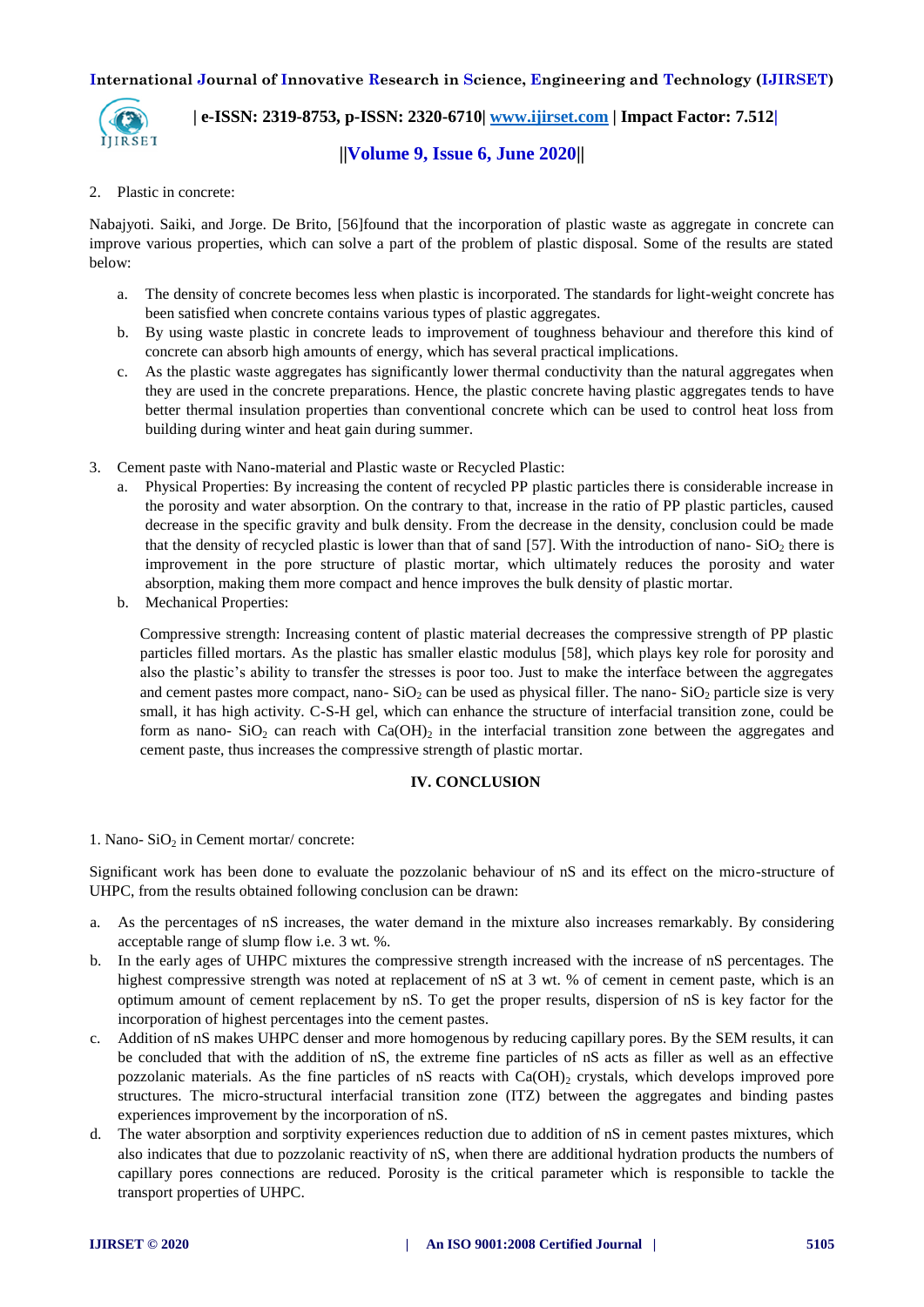

 **| e-ISSN: 2319-8753, p-ISSN: 2320-6710[| www.ijirset.com](http://www.ijirset.com/) | Impact Factor: 7.512|**

## **||Volume 9, Issue 6, June 2020||**

## 2. Plastic in concrete:

Nabajyoti. Saiki, and Jorge. De Brito, [\[56\]f](#page-7-21)ound that the incorporation of plastic waste as aggregate in concrete can improve various properties, which can solve a part of the problem of plastic disposal. Some of the results are stated below:

- a. The density of concrete becomes less when plastic is incorporated. The standards for light-weight concrete has been satisfied when concrete contains various types of plastic aggregates.
- b. By using waste plastic in concrete leads to improvement of toughness behaviour and therefore this kind of concrete can absorb high amounts of energy, which has several practical implications.
- c. As the plastic waste aggregates has significantly lower thermal conductivity than the natural aggregates when they are used in the concrete preparations. Hence, the plastic concrete having plastic aggregates tends to have better thermal insulation properties than conventional concrete which can be used to control heat loss from building during winter and heat gain during summer.
- 3. Cement paste with Nano-material and Plastic waste or Recycled Plastic:
	- a. Physical Properties: By increasing the content of recycled PP plastic particles there is considerable increase in the porosity and water absorption. On the contrary to that, increase in the ratio of PP plastic particles, caused decrease in the specific gravity and bulk density. From the decrease in the density, conclusion could be made that the density of recycled plastic is lower than that of sand  $[57]$ . With the introduction of nano- $SiO<sub>2</sub>$  there is improvement in the pore structure of plastic mortar, which ultimately reduces the porosity and water absorption, making them more compact and hence improves the bulk density of plastic mortar.
	- b. Mechanical Properties:

Compressive strength: Increasing content of plastic material decreases the compressive strength of PP plastic particles filled mortars. As the plastic has smaller elastic modulus [\[58\],](#page-7-23) which plays key role for porosity and also the plastic's ability to transfer the stresses is poor too. Just to make the interface between the aggregates and cement pastes more compact, nano-  $SiO<sub>2</sub>$  can be used as physical filler. The nano-  $SiO<sub>2</sub>$  particle size is very small, it has high activity. C-S-H gel, which can enhance the structure of interfacial transition zone, could be form as nano-  $SiO<sub>2</sub>$  can reach with  $Ca(OH)<sub>2</sub>$  in the interfacial transition zone between the aggregates and cement paste, thus increases the compressive strength of plastic mortar.

## **IV. CONCLUSION**

1. Nano- $SiO<sub>2</sub>$  in Cement mortar/ concrete:

Significant work has been done to evaluate the pozzolanic behaviour of nS and its effect on the micro-structure of UHPC, from the results obtained following conclusion can be drawn:

- a. As the percentages of nS increases, the water demand in the mixture also increases remarkably. By considering acceptable range of slump flow i.e. 3 wt. %.
- b. In the early ages of UHPC mixtures the compressive strength increased with the increase of nS percentages. The highest compressive strength was noted at replacement of nS at 3 wt. % of cement in cement paste, which is an optimum amount of cement replacement by nS. To get the proper results, dispersion of nS is key factor for the incorporation of highest percentages into the cement pastes.
- c. Addition of nS makes UHPC denser and more homogenous by reducing capillary pores. By the SEM results, it can be concluded that with the addition of nS, the extreme fine particles of nS acts as filler as well as an effective pozzolanic materials. As the fine particles of nS reacts with  $Ca(OH)_2$  crystals, which develops improved pore structures. The micro-structural interfacial transition zone (ITZ) between the aggregates and binding pastes experiences improvement by the incorporation of nS.
- d. The water absorption and sorptivity experiences reduction due to addition of nS in cement pastes mixtures, which also indicates that due to pozzolanic reactivity of nS, when there are additional hydration products the numbers of capillary pores connections are reduced. Porosity is the critical parameter which is responsible to tackle the transport properties of UHPC.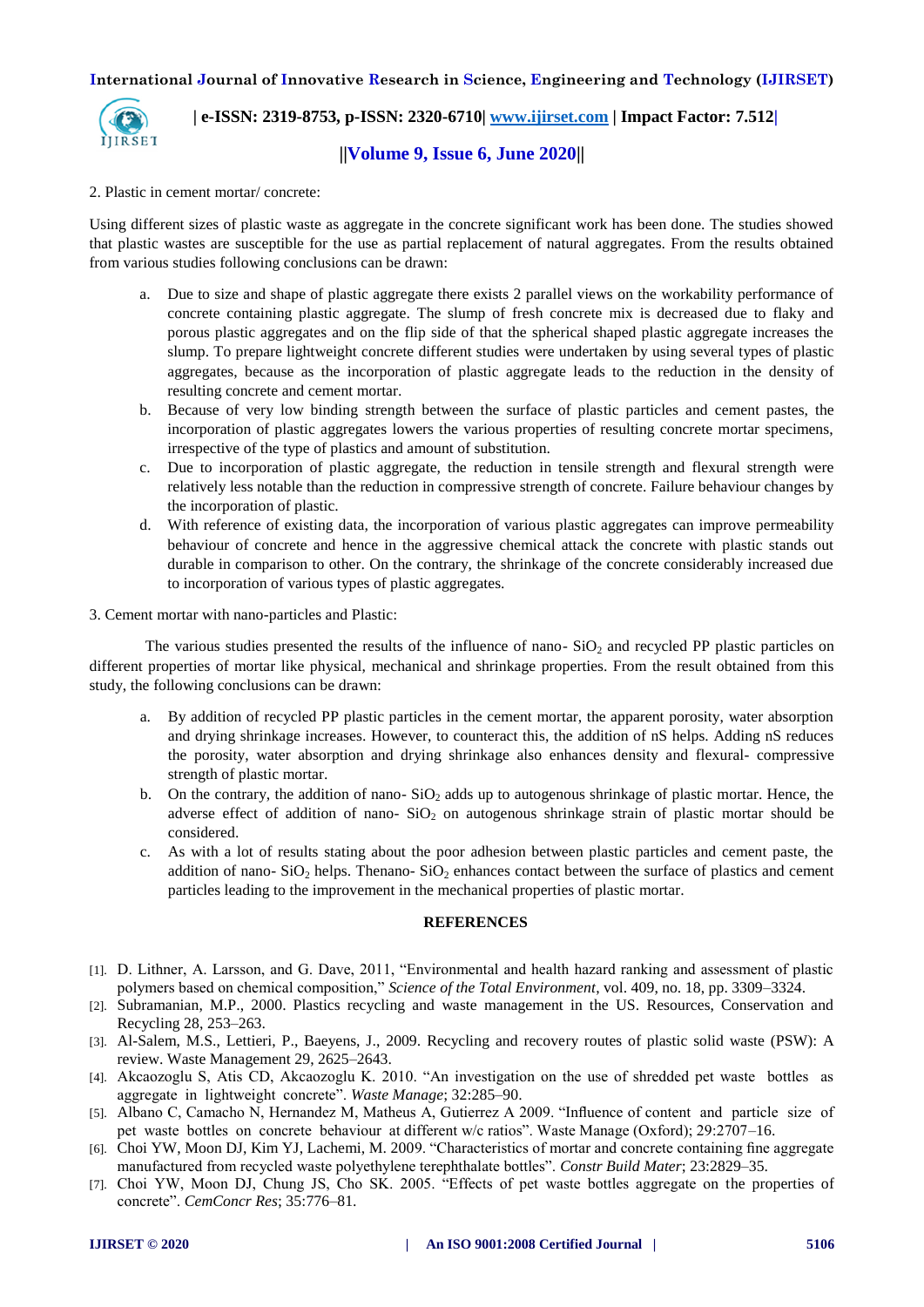

 **| e-ISSN: 2319-8753, p-ISSN: 2320-6710[| www.ijirset.com](http://www.ijirset.com/) | Impact Factor: 7.512|**

## **||Volume 9, Issue 6, June 2020||**

#### 2. Plastic in cement mortar/ concrete:

Using different sizes of plastic waste as aggregate in the concrete significant work has been done. The studies showed that plastic wastes are susceptible for the use as partial replacement of natural aggregates. From the results obtained from various studies following conclusions can be drawn:

- a. Due to size and shape of plastic aggregate there exists 2 parallel views on the workability performance of concrete containing plastic aggregate. The slump of fresh concrete mix is decreased due to flaky and porous plastic aggregates and on the flip side of that the spherical shaped plastic aggregate increases the slump. To prepare lightweight concrete different studies were undertaken by using several types of plastic aggregates, because as the incorporation of plastic aggregate leads to the reduction in the density of resulting concrete and cement mortar.
- b. Because of very low binding strength between the surface of plastic particles and cement pastes, the incorporation of plastic aggregates lowers the various properties of resulting concrete mortar specimens, irrespective of the type of plastics and amount of substitution.
- c. Due to incorporation of plastic aggregate, the reduction in tensile strength and flexural strength were relatively less notable than the reduction in compressive strength of concrete. Failure behaviour changes by the incorporation of plastic.
- d. With reference of existing data, the incorporation of various plastic aggregates can improve permeability behaviour of concrete and hence in the aggressive chemical attack the concrete with plastic stands out durable in comparison to other. On the contrary, the shrinkage of the concrete considerably increased due to incorporation of various types of plastic aggregates.

#### 3. Cement mortar with nano-particles and Plastic:

The various studies presented the results of the influence of nano- $SiO<sub>2</sub>$  and recycled PP plastic particles on different properties of mortar like physical, mechanical and shrinkage properties. From the result obtained from this study, the following conclusions can be drawn:

- a. By addition of recycled PP plastic particles in the cement mortar, the apparent porosity, water absorption and drying shrinkage increases. However, to counteract this, the addition of nS helps. Adding nS reduces the porosity, water absorption and drying shrinkage also enhances density and flexural- compressive strength of plastic mortar.
- b. On the contrary, the addition of nano- $SiO<sub>2</sub>$  adds up to autogenous shrinkage of plastic mortar. Hence, the adverse effect of addition of nano- $SiO<sub>2</sub>$  on autogenous shrinkage strain of plastic mortar should be considered.
- c. As with a lot of results stating about the poor adhesion between plastic particles and cement paste, the addition of nano-  $SiO<sub>2</sub>$  helps. Thenano-  $SiO<sub>2</sub>$  enhances contact between the surface of plastics and cement particles leading to the improvement in the mechanical properties of plastic mortar.

#### **REFERENCES**

- <span id="page-5-0"></span>[1]. D. Lithner, A. Larsson, and G. Dave, 2011, "Environmental and health hazard ranking and assessment of plastic polymers based on chemical composition," *Science of the Total Environment*, vol. 409, no. 18, pp. 3309–3324.
- <span id="page-5-1"></span>[2]. Subramanian, M.P., 2000. Plastics recycling and waste management in the US. Resources, Conservation and Recycling 28, 253–263.
- <span id="page-5-2"></span>[3]. Al-Salem, M.S., Lettieri, P., Baeyens, J., 2009. Recycling and recovery routes of plastic solid waste (PSW): A review. Waste Management 29, 2625–2643.
- <span id="page-5-3"></span>[4]. Akcaozoglu S, Atis CD, Akcaozoglu K. 2010. "An investigation on the use of shredded pet waste bottles as aggregate in lightweight concrete". *Waste Manage*; 32:285–90.
- <span id="page-5-4"></span>[5]. Albano C, Camacho N, Hernandez M, Matheus A, Gutierrez A 2009. "Influence of content and particle size of pet waste bottles on concrete behaviour at different w/c ratios". Waste Manage (Oxford); 29:2707–16.
- <span id="page-5-5"></span>[6]. Choi YW, Moon DJ, Kim YJ, Lachemi, M. 2009. "Characteristics of mortar and concrete containing fine aggregate manufactured from recycled waste polyethylene terephthalate bottles". *Constr Build Mater*; 23:2829–35.
- <span id="page-5-6"></span>[7]. Choi YW, Moon DJ, Chung JS, Cho SK. 2005. "Effects of pet waste bottles aggregate on the properties of concrete". *CemConcr Res*; 35:776–81.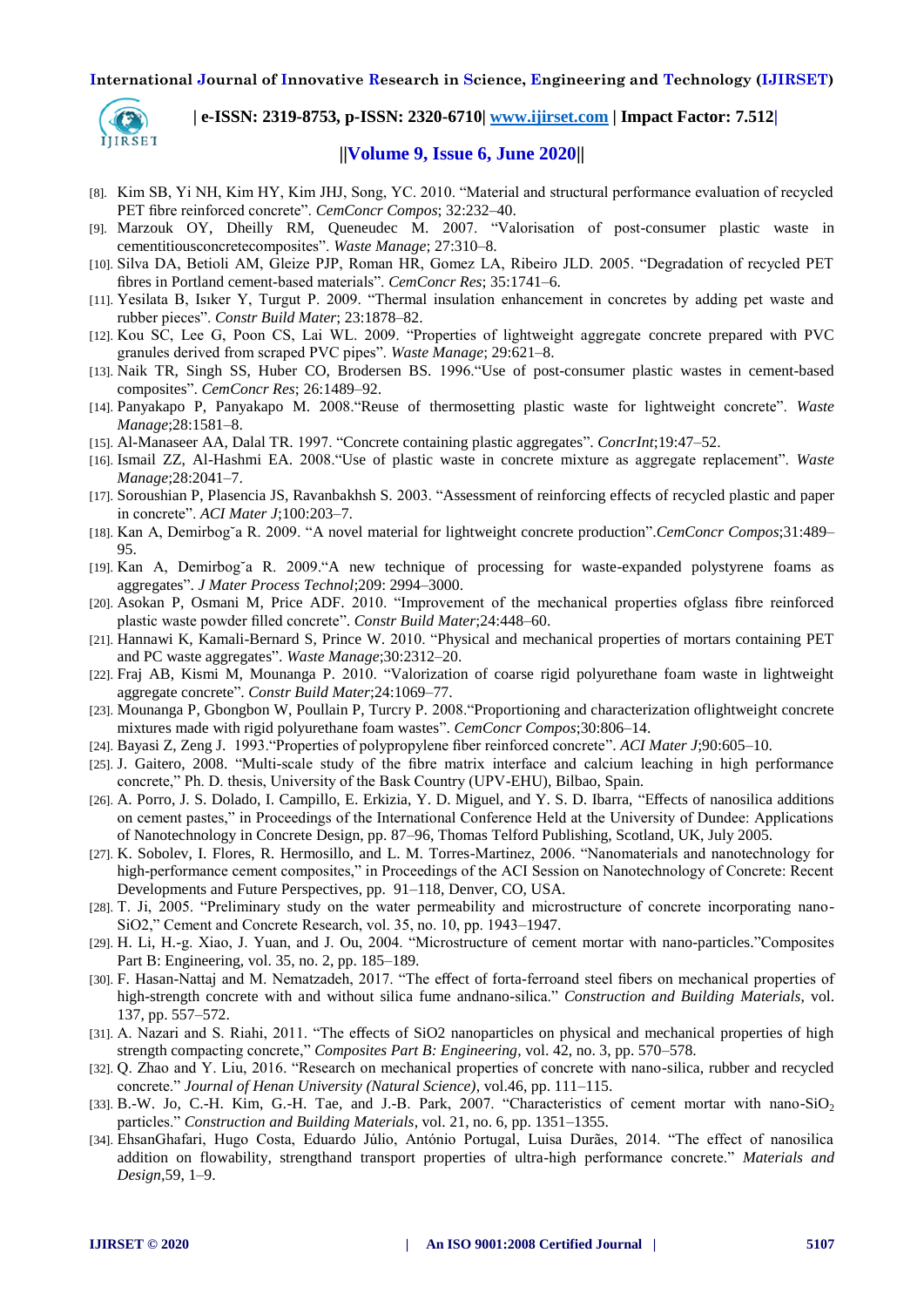

 **| e-ISSN: 2319-8753, p-ISSN: 2320-6710[| www.ijirset.com](http://www.ijirset.com/) | Impact Factor: 7.512|**

## **||Volume 9, Issue 6, June 2020||**

- <span id="page-6-0"></span>[8]. Kim SB, Yi NH, Kim HY, Kim JHJ, Song, YC. 2010. "Material and structural performance evaluation of recycled PET fibre reinforced concrete". *CemConcr Compos*; 32:232–40.
- <span id="page-6-1"></span>[9]. Marzouk OY, Dheilly RM, Queneudec M. 2007. "Valorisation of post-consumer plastic waste in cementitiousconcretecomposites". *Waste Manage*; 27:310–8.
- <span id="page-6-2"></span>[10]. Silva DA, Betioli AM, Gleize PJP, Roman HR, Gomez LA, Ribeiro JLD. 2005. "Degradation of recycled PET fibres in Portland cement-based materials". *CemConcr Res*; 35:1741–6.
- <span id="page-6-3"></span>[11]. Yesilata B, Isıker Y, Turgut P. 2009. "Thermal insulation enhancement in concretes by adding pet waste and rubber pieces". *Constr Build Mater*; 23:1878–82.
- <span id="page-6-4"></span>[12]. Kou SC, Lee G, Poon CS, Lai WL. 2009. "Properties of lightweight aggregate concrete prepared with PVC granules derived from scraped PVC pipes". *Waste Manage*; 29:621–8.
- <span id="page-6-5"></span>[13]. Naik TR, Singh SS, Huber CO, Brodersen BS. 1996."Use of post-consumer plastic wastes in cement-based composites". *CemConcr Res*; 26:1489–92.
- <span id="page-6-6"></span>[14]. Panyakapo P, Panyakapo M. 2008."Reuse of thermosetting plastic waste for lightweight concrete". *Waste Manage*;28:1581–8.
- <span id="page-6-7"></span>[15]. Al-Manaseer AA, Dalal TR. 1997. "Concrete containing plastic aggregates". *ConcrInt*;19:47–52.
- <span id="page-6-8"></span>[16]. Ismail ZZ, Al-Hashmi EA. 2008."Use of plastic waste in concrete mixture as aggregate replacement". *Waste Manage*;28:2041–7.
- <span id="page-6-9"></span>[17]. Soroushian P, Plasencia JS, Ravanbakhsh S. 2003. "Assessment of reinforcing effects of recycled plastic and paper in concrete". *ACI Mater J*;100:203–7.
- <span id="page-6-10"></span>[18]. Kan A, Demirbog˘a R. 2009. "A novel material for lightweight concrete production".*CemConcr Compos*;31:489– 95.
- <span id="page-6-11"></span>[19]. Kan A, Demirbog˘a R. 2009."A new technique of processing for waste-expanded polystyrene foams as aggregates". *J Mater Process Technol*;209: 2994–3000.
- <span id="page-6-12"></span>[20]. Asokan P, Osmani M, Price ADF. 2010. "Improvement of the mechanical properties ofglass fibre reinforced plastic waste powder filled concrete". *Constr Build Mater*;24:448–60.
- <span id="page-6-13"></span>[21]. Hannawi K, Kamali-Bernard S, Prince W. 2010. "Physical and mechanical properties of mortars containing PET and PC waste aggregates". *Waste Manage*;30:2312–20.
- <span id="page-6-14"></span>[22]. Fraj AB, Kismi M, Mounanga P. 2010. "Valorization of coarse rigid polyurethane foam waste in lightweight aggregate concrete". *Constr Build Mater*;24:1069–77.
- <span id="page-6-15"></span>[23]. Mounanga P, Gbongbon W, Poullain P, Turcry P. 2008."Proportioning and characterization oflightweight concrete mixtures made with rigid polyurethane foam wastes". *CemConcr Compos*;30:806–14.
- <span id="page-6-16"></span>[24]. Bayasi Z, Zeng J. 1993."Properties of polypropylene fiber reinforced concrete". *ACI Mater J*;90:605–10.
- <span id="page-6-17"></span>[25]. J. Gaitero, 2008. "Multi-scale study of the fibre matrix interface and calcium leaching in high performance concrete," Ph. D. thesis, University of the Bask Country (UPV-EHU), Bilbao, Spain.
- <span id="page-6-18"></span>[26]. A. Porro, J. S. Dolado, I. Campillo, E. Erkizia, Y. D. Miguel, and Y. S. D. Ibarra, "Effects of nanosilica additions on cement pastes," in Proceedings of the International Conference Held at the University of Dundee: Applications of Nanotechnology in Concrete Design, pp. 87–96, Thomas Telford Publishing, Scotland, UK, July 2005.
- <span id="page-6-19"></span>[27]. K. Sobolev, I. Flores, R. Hermosillo, and L. M. Torres-Martinez, 2006. "Nanomaterials and nanotechnology for high-performance cement composites," in Proceedings of the ACI Session on Nanotechnology of Concrete: Recent Developments and Future Perspectives, pp. 91–118, Denver, CO, USA.
- <span id="page-6-20"></span>[28]. T. Ji, 2005. "Preliminary study on the water permeability and microstructure of concrete incorporating nano-SiO2," Cement and Concrete Research, vol. 35, no. 10, pp. 1943–1947.
- <span id="page-6-21"></span>[29]. H. Li, H.-g. Xiao, J. Yuan, and J. Ou, 2004. "Microstructure of cement mortar with nano-particles."Composites Part B: Engineering, vol. 35, no. 2, pp. 185–189.
- <span id="page-6-22"></span>[30]. F. Hasan-Nattaj and M. Nematzadeh, 2017. "The effect of forta-ferroand steel fibers on mechanical properties of high-strength concrete with and without silica fume andnano-silica." *Construction and Building Materials*, vol. 137, pp. 557–572.
- <span id="page-6-23"></span>[31]. A. Nazari and S. Riahi, 2011. "The effects of SiO2 nanoparticles on physical and mechanical properties of high strength compacting concrete," *Composites Part B: Engineering*, vol. 42, no. 3, pp. 570–578.
- <span id="page-6-24"></span>[32]. Q. Zhao and Y. Liu, 2016. "Research on mechanical properties of concrete with nano-silica, rubber and recycled concrete." *Journal of Henan University (Natural Science)*, vol.46, pp. 111–115.
- <span id="page-6-25"></span>[33]. B.-W. Jo, C.-H. Kim, G.-H. Tae, and J.-B. Park, 2007. "Characteristics of cement mortar with nano-SiO<sub>2</sub> particles." *Construction and Building Materials*, vol. 21, no. 6, pp. 1351–1355.
- <span id="page-6-26"></span>[34]. EhsanGhafari, Hugo Costa, Eduardo Júlio, António Portugal, Luisa Durães, 2014. "The effect of nanosilica addition on flowability, strengthand transport properties of ultra-high performance concrete." *[Materials and](http://dx.doi.org/10.1016/j.matdes.2014.02.051)  Design,*[59, 1–9.](http://dx.doi.org/10.1016/j.matdes.2014.02.051)